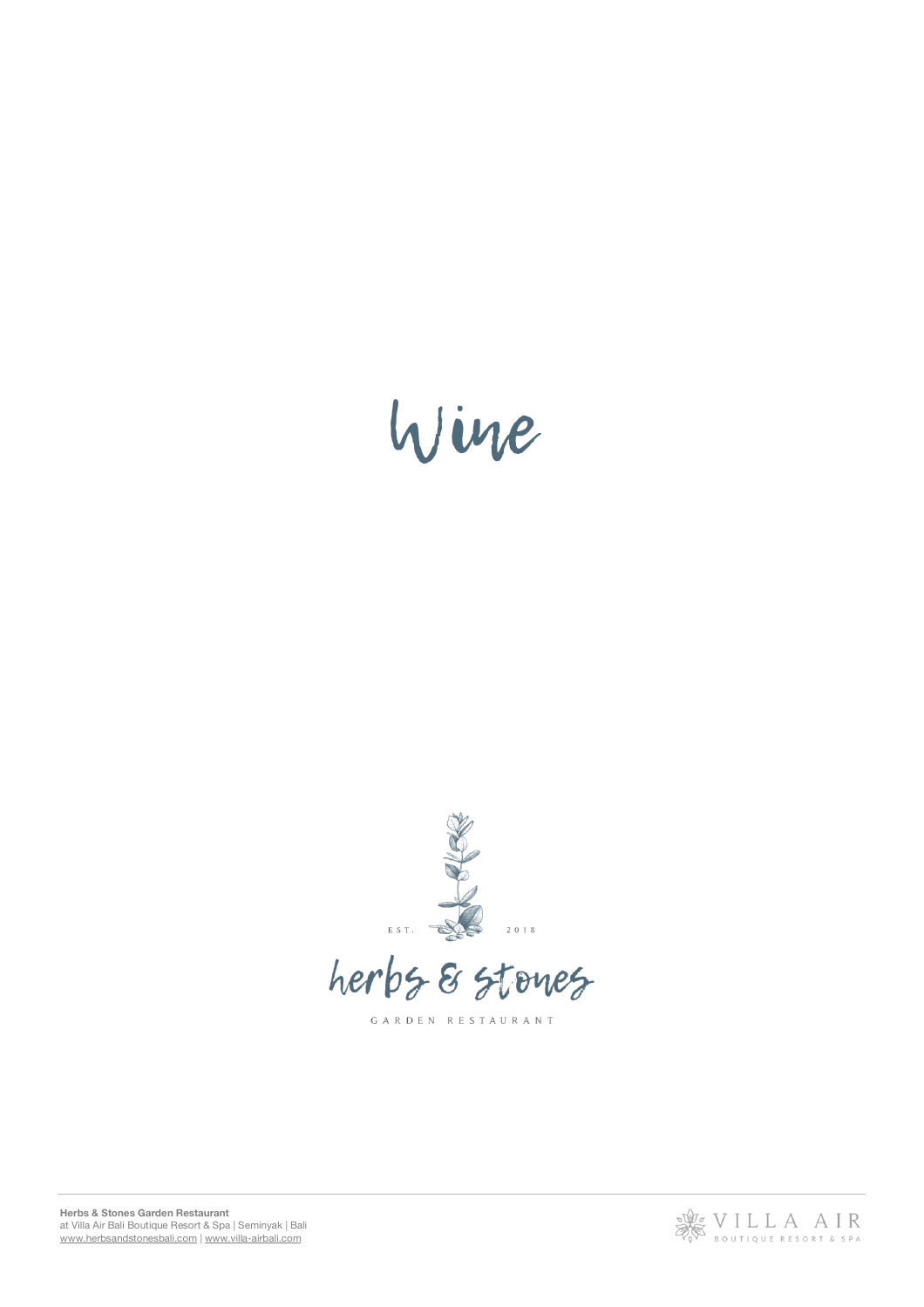



herbs & stones

GARDEN RESTAURANT



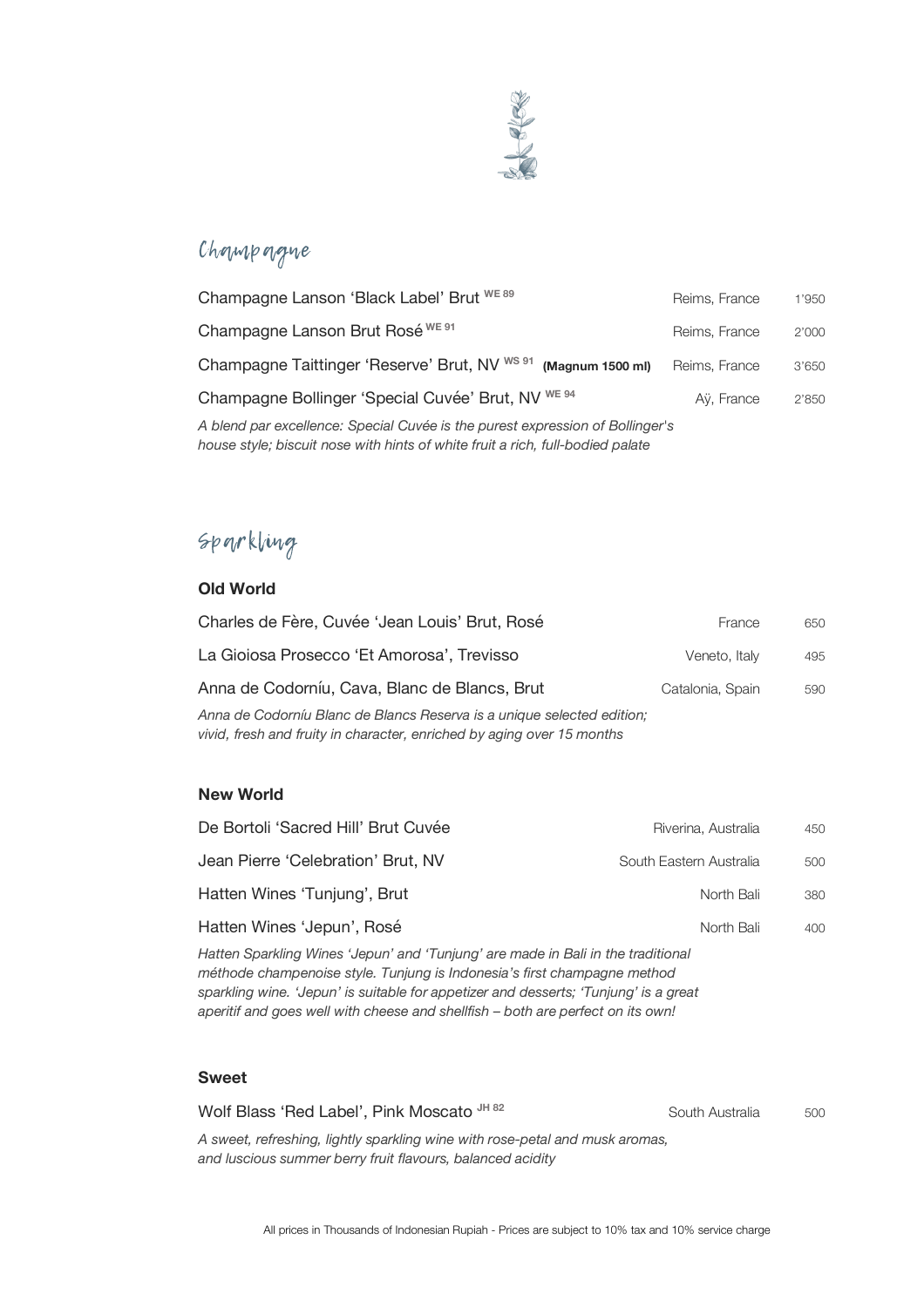

## Champagne

| Champagne Lanson 'Black Label' Brut <sup>we 89</sup>                                                                                                            | Reims, France | 1'950 |
|-----------------------------------------------------------------------------------------------------------------------------------------------------------------|---------------|-------|
| Champagne Lanson Brut Rosé <sup>we 91</sup>                                                                                                                     | Reims, France | 2'000 |
| Champagne Taittinger 'Reserve' Brut, NV <sup>ws 91</sup><br>(Magnum 1500 ml)                                                                                    | Reims, France | 3'650 |
| Champagne Bollinger 'Special Cuvée' Brut, NV <sup>WE 94</sup>                                                                                                   | Aÿ, France    | 2'850 |
| A blend par excellence: Special Cuvée is the purest expression of Bollinger's<br>house style; biscuit nose with hints of white fruit a rich, full-bodied palate |               |       |

# Sparkling

#### **Old World**

| Charles de Fère, Cuvée 'Jean Louis' Brut, Rosé                                                                                                   | France           | 650 |
|--------------------------------------------------------------------------------------------------------------------------------------------------|------------------|-----|
| La Gioiosa Prosecco 'Et Amorosa', Trevisso                                                                                                       | Veneto, Italy    | 495 |
| Anna de Codorníu, Cava, Blanc de Blancs, Brut                                                                                                    | Catalonia, Spain | 590 |
| Anna de Codorníu Blanc de Blancs Reserva is a unique selected edition;<br>vivid, fresh and fruity in character, enriched by aging over 15 months |                  |     |

#### **New World**

| Riverina, Australia     | 450 |
|-------------------------|-----|
| South Eastern Australia | 500 |
| North Bali              | 380 |
| North Bali              | 400 |
|                         |     |

*Hatten Sparkling Wines 'Jepun' and 'Tunjung' are made in Bali in the traditional méthode champenoise style. Tunjung is Indonesia's first champagne method sparkling wine. 'Jepun' is suitable for appetizer and desserts; 'Tunjung' is a great aperitif and goes well with cheese and shellfish – both are perfect on its own!* 

#### **Sweet**

Wolf Blass 'Red Label', Pink Moscato JH 82 South Australia 500 *A sweet, refreshing, lightly sparkling wine with rose-petal and musk aromas, and luscious summer berry fruit flavours, balanced acidity*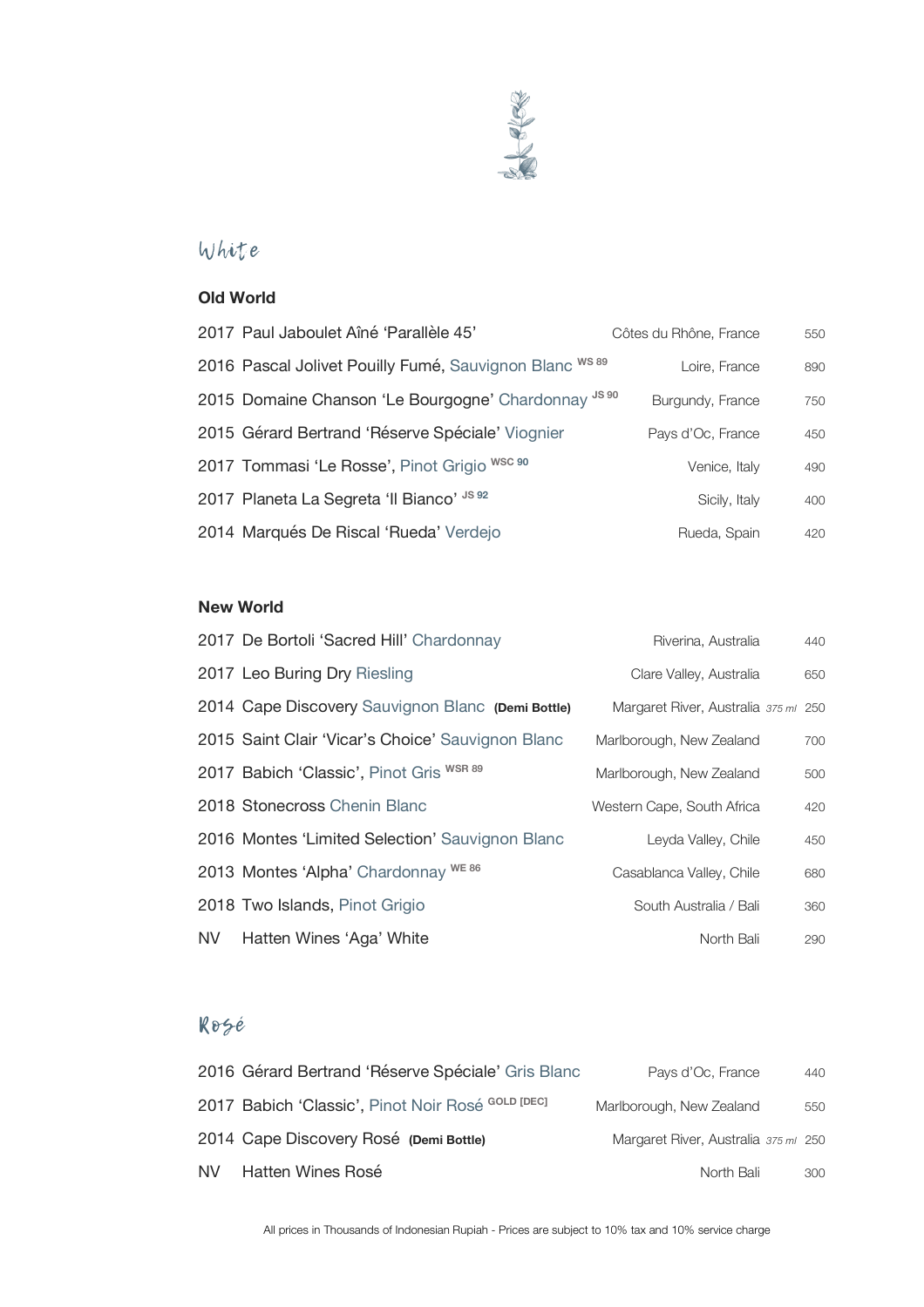

## White

### **Old World**

| 2017 Paul Jaboulet Aîné 'Parallèle 45'                  | Côtes du Rhône, France | 550 |
|---------------------------------------------------------|------------------------|-----|
| 2016 Pascal Jolivet Pouilly Fumé, Sauvignon Blanc WS 89 | Loire, France          | 890 |
| 2015 Domaine Chanson 'Le Bourgogne' Chardonnay JS 90    | Burgundy, France       | 750 |
| 2015 Gérard Bertrand 'Réserve Spéciale' Viognier        | Pays d'Oc, France      | 450 |
| 2017 Tommasi 'Le Rosse', Pinot Grigio WSC 90            | Venice, Italy          | 490 |
| 2017 Planeta La Segreta 'Il Bianco' JS 92               | Sicily, Italy          | 400 |
| 2014 Marqués De Riscal 'Rueda' Verdejo                  | Rueda, Spain           | 420 |

#### **New World**

|      | 2017 De Bortoli 'Sacred Hill' Chardonnay          | Riverina, Australia                  | 440 |
|------|---------------------------------------------------|--------------------------------------|-----|
|      | 2017 Leo Buring Dry Riesling                      | Clare Valley, Australia              | 650 |
|      | 2014 Cape Discovery Sauvignon Blanc (Demi Bottle) | Margaret River, Australia 375 ml 250 |     |
|      | 2015 Saint Clair 'Vicar's Choice' Sauvignon Blanc | Marlborough, New Zealand             | 700 |
|      | 2017 Babich 'Classic', Pinot Gris WSR 89          | Marlborough, New Zealand             | 500 |
|      | 2018 Stonecross Chenin Blanc                      | Western Cape, South Africa           | 420 |
|      | 2016 Montes 'Limited Selection' Sauvignon Blanc   | Leyda Valley, Chile                  | 450 |
|      | 2013 Montes 'Alpha' Chardonnay WE 86              | Casablanca Valley, Chile             | 680 |
|      | 2018 Two Islands, Pinot Grigio                    | South Australia / Bali               | 360 |
| NV - | Hatten Wines 'Aga' White                          | North Bali                           | 290 |

## Rosé

| 2016 Gérard Bertrand 'Réserve Spéciale' Gris Blanc | Pays d'Oc, France                    | 440 |
|----------------------------------------------------|--------------------------------------|-----|
| 2017 Babich 'Classic', Pinot Noir Rosé GOLD [DEC]  | Marlborough, New Zealand             | 550 |
| 2014 Cape Discovery Rosé (Demi Bottle)             | Margaret River, Australia 375 ml 250 |     |
| NV Hatten Wines Rosé                               | North Bali                           | 300 |

All prices in Thousands of Indonesian Rupiah - Prices are subject to 10% tax and 10% service charge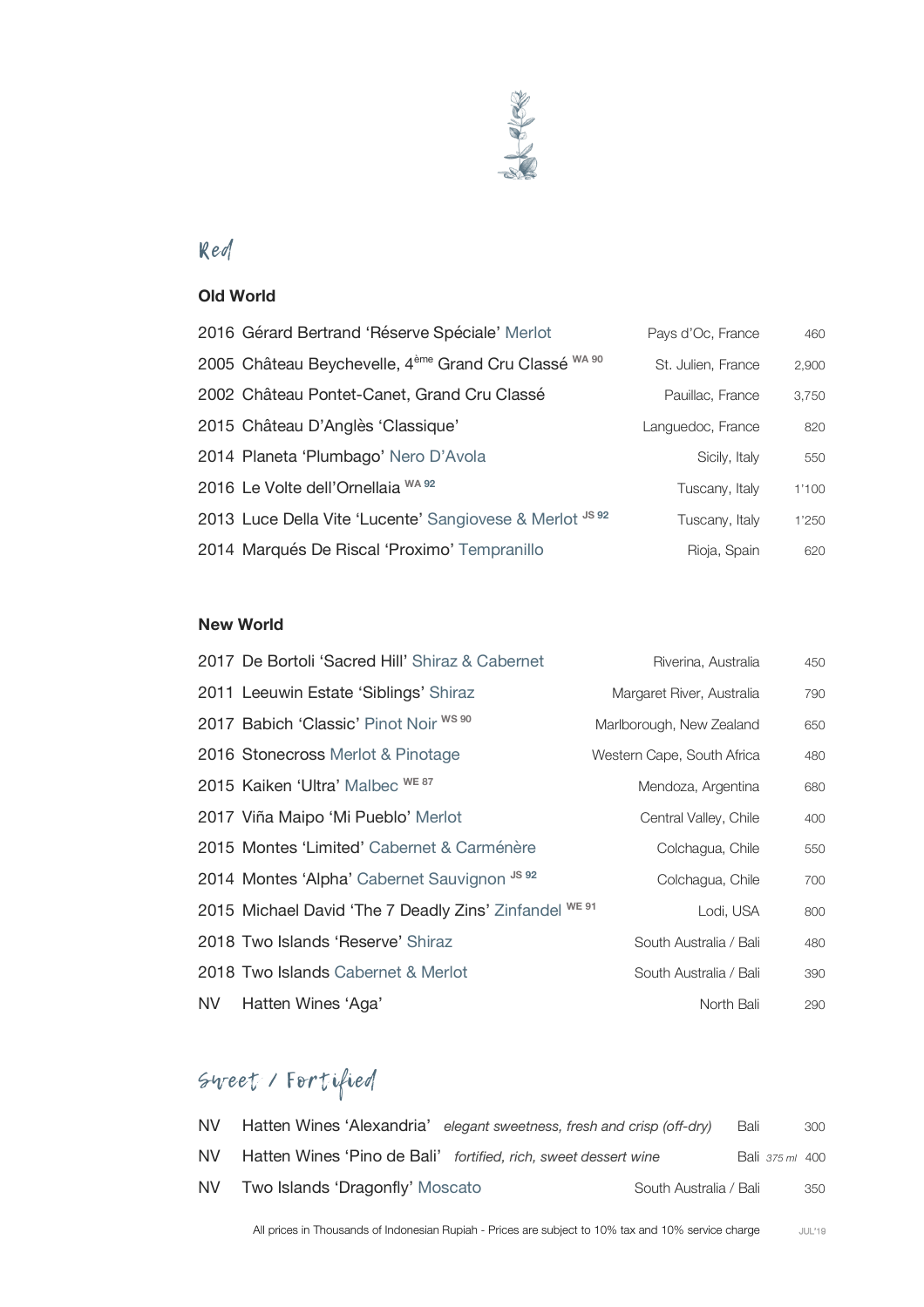

## Red

#### **Old World**

| 2016 Gérard Bertrand 'Réserve Spéciale' Merlot                               | Pays d'Oc, France  | 460   |
|------------------------------------------------------------------------------|--------------------|-------|
| 2005 Château Beychevelle, 4 <sup>ème</sup> Grand Cru Classé <sup>WA 90</sup> | St. Julien, France | 2,900 |
| 2002 Château Pontet-Canet, Grand Cru Classé                                  | Pauillac, France   | 3,750 |
| 2015 Château D'Anglès 'Classique'                                            | Languedoc, France  | 820   |
| 2014 Planeta 'Plumbago' Nero D'Avola                                         | Sicily, Italy      | 550   |
| 2016 Le Volte dell'Ornellaia WA 92                                           | Tuscany, Italy     | 1'100 |
| 2013 Luce Della Vite 'Lucente' Sangiovese & Merlot JS 92                     | Tuscany, Italy     | 1'250 |
| 2014 Marqués De Riscal 'Proximo' Tempranillo                                 | Rioja, Spain       | 620   |

#### **New World**

|      | 2017 De Bortoli 'Sacred Hill' Shiraz & Cabernet        | Riverina, Australia        | 450 |
|------|--------------------------------------------------------|----------------------------|-----|
|      | 2011 Leeuwin Estate 'Siblings' Shiraz                  | Margaret River, Australia  | 790 |
|      | 2017 Babich 'Classic' Pinot Noir WS 90                 | Marlborough, New Zealand   | 650 |
|      | 2016 Stonecross Merlot & Pinotage                      | Western Cape, South Africa | 480 |
|      | 2015 Kaiken 'Ultra' Malbec WE 87                       | Mendoza, Argentina         | 680 |
|      | 2017 Viña Maipo 'Mi Pueblo' Merlot                     | Central Valley, Chile      | 400 |
|      | 2015 Montes 'Limited' Cabernet & Carménère             | Colchagua, Chile           | 550 |
|      | 2014 Montes 'Alpha' Cabernet Sauvignon JS 92           | Colchagua, Chile           | 700 |
|      | 2015 Michael David 'The 7 Deadly Zins' Zinfandel WE 91 | Lodi, USA                  | 800 |
|      | 2018 Two Islands 'Reserve' Shiraz                      | South Australia / Bali     | 480 |
|      | 2018 Two Islands Cabernet & Merlot                     | South Australia / Bali     | 390 |
| NV I | Hatten Wines 'Aga'                                     | North Bali                 | 290 |

# Sweet / Fortified

| NV   | Hatten Wines 'Alexandria' elegant sweetness, fresh and crisp (off-dry) |                        | Bali            | 300 |
|------|------------------------------------------------------------------------|------------------------|-----------------|-----|
| NV l | Hatten Wines 'Pino de Bali' fortified, rich, sweet dessert wine        |                        | Bali 375 ml 400 |     |
| NV   | Two Islands 'Dragonfly' Moscato                                        | South Australia / Bali |                 | 350 |